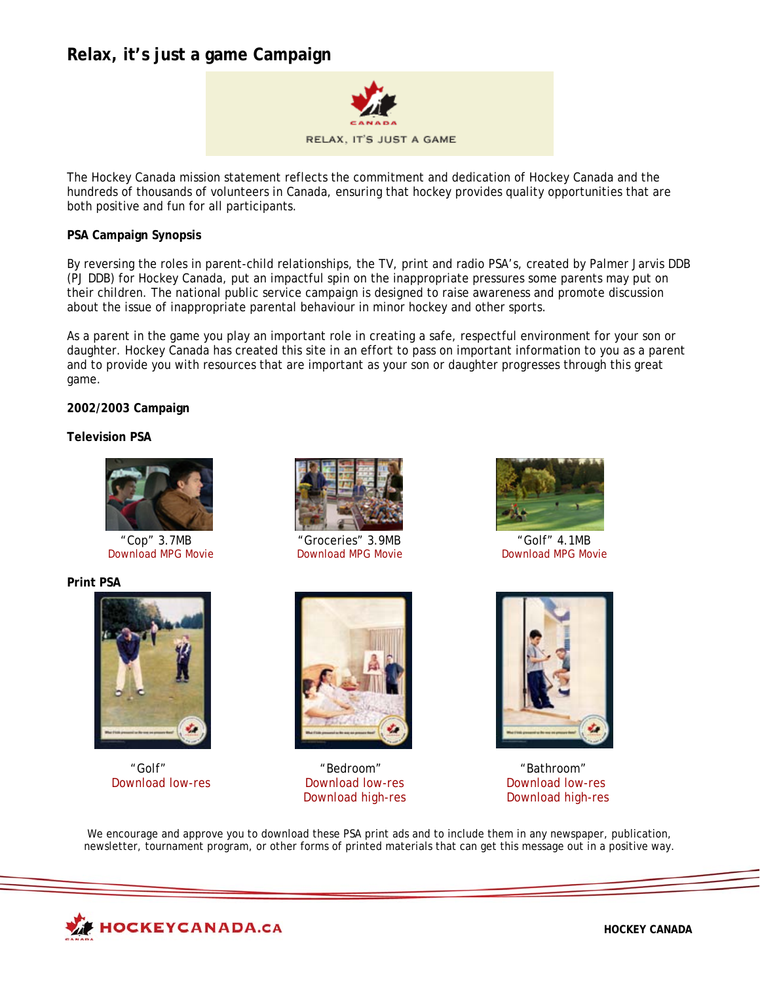# **Relax, it's just a game Campaign**



The Hockey Canada mission statement reflects the commitment and dedication of Hockey Canada and the hundreds of thousands of volunteers in Canada, ensuring that hockey provides quality opportunities that are both positive and fun for all participants.

### **PSA Campaign Synopsis**

By reversing the roles in parent-child relationships, the TV, print and radio PSA's, created by Palmer Jarvis DDB (PJ DDB) for Hockey Canada, put an impactful spin on the inappropriate pressures some parents may put on their children. The national public service campaign is designed to raise awareness and promote discussion about the issue of inappropriate parental behaviour in minor hockey and other sports.

As a parent in the game you play an important role in creating a safe, respectful environment for your son or daughter. Hockey Canada has created this site in an effort to pass on important information to you as a parent and to provide you with resources that are important as your son or daughter progresses through this great game.

### **2002/2003 Campaign**

### **Television PSA**



[Download MPG Movie](http://www.hockeycanada.ca/index.php/ci_id/7493/la_id/1.htm)

### **Print PSA**





["Cop" 3.7MB](http://www.hockeycanada.ca/index.php/ci_id/7505/la_id/1.htm) ["Groceries" 3.9MB](http://www.hockeycanada.ca/index.php/ci_id/7494/la_id/1.htm) ["Golf" 4.1MB](http://www.hockeycanada.ca/index.php/ci_id/7493/la_id/1.htm) 



"Golf" "Bedroom" "Bathroom"





[Download low-res](http://www.hockeycanada.ca/multimedia/e/develop/parentprograms/2002-03/downloads/cha_golf_m.jpg) [Download low-res](http://www.hockeycanada.ca/multimedia/e/develop/parentprograms/2002-03/downloads/cha_bedroom_m.jpg) [Download low-res](http://www.hockeycanada.ca/multimedia/e/develop/parentprograms/2002-03/downloads/cha_bathroom_m.jpg) [Download high-res](http://www.hockeycanada.ca/multimedia/e/develop/parentprograms/2002-03/downloads/cha_bathroom.jpg) Download high-res

We encourage and approve you to download these PSA print ads and to include them in any newspaper, publication, newsletter, tournament program, or other forms of printed materials that can get this message out in a positive way.

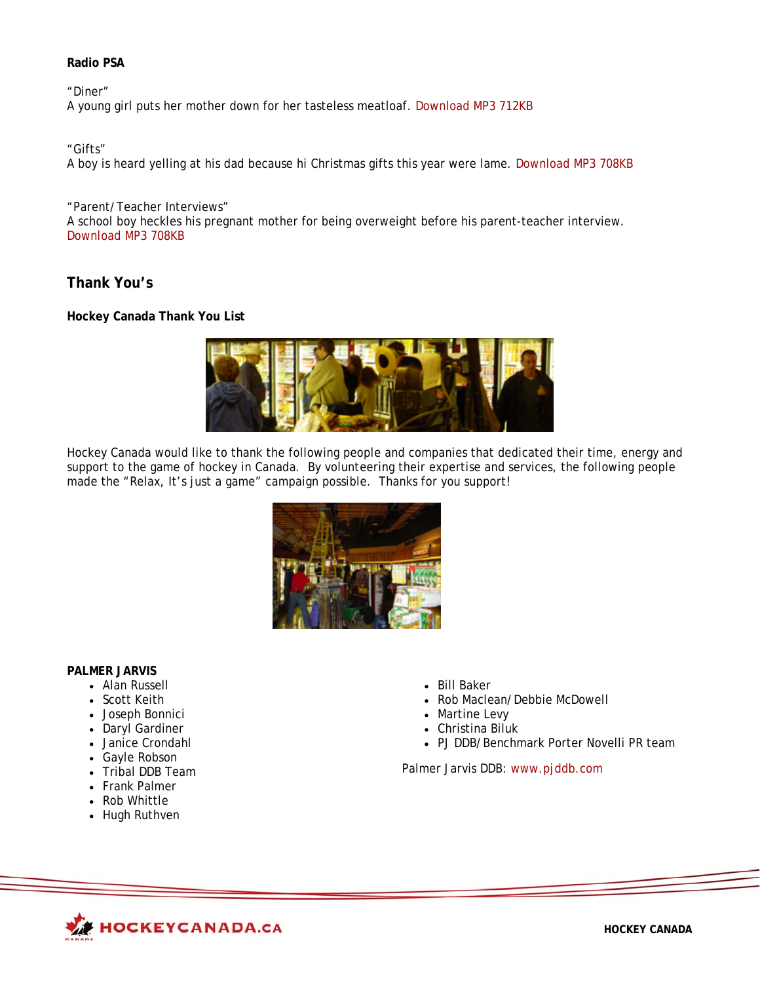# **Radio PSA**

"Diner" A young girl puts her mother down for her tasteless meatloaf. [Download MP3 712KB](http://www.hockeycanada.ca/index.php/ci_id/7480/la_id/1.htm)

"Gifts"

A boy is heard yelling at his dad because hi Christmas gifts this year were lame. [Download MP3 708KB](http://www.hockeycanada.ca/index.php/ci_id/7492/la_id/1.htm)

"Parent/Teacher Interviews" A school boy heckles his pregnant mother for being overweight before his parent-teacher interview. [Download MP3 708KB](http://www.hockeycanada.ca/index.php/ci_id/7503/la_id/1.htm) 

**Thank You's** 

**Hockey Canada Thank You List** 



Hockey Canada would like to thank the following people and companies that dedicated their time, energy and support to the game of hockey in Canada. By volunteering their expertise and services, the following people made the "Relax, It's just a game" campaign possible. Thanks for you support!



# **PALMER JARVIS**

- Alan Russell
- Scott Keith
- Joseph Bonnici
- Daryl Gardiner
- Janice Crondahl
- Gayle Robson
- Tribal DDB Team
- Frank Palmer
- Rob Whittle
- Hugh Ruthven
- Bill Baker
- Rob Maclean/Debbie McDowell
- Martine Levy
- Christina Biluk
- PJ DDB/Benchmark Porter Novelli PR team

Palmer Jarvis DDB: [www.pjddb.com](http://www.pjddb.com/)